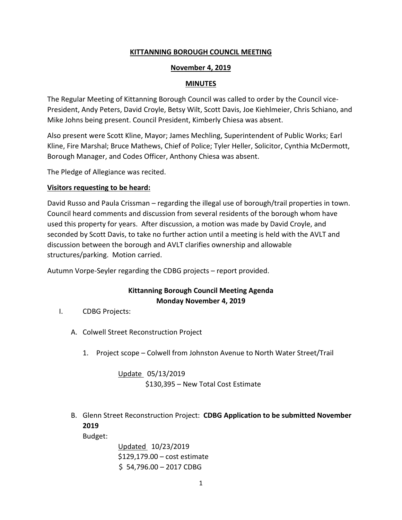## **KITTANNING BOROUGH COUNCIL MEETING**

### **November 4, 2019**

#### **MINUTES**

The Regular Meeting of Kittanning Borough Council was called to order by the Council vice-President, Andy Peters, David Croyle, Betsy Wilt, Scott Davis, Joe Kiehlmeier, Chris Schiano, and Mike Johns being present. Council President, Kimberly Chiesa was absent.

Also present were Scott Kline, Mayor; James Mechling, Superintendent of Public Works; Earl Kline, Fire Marshal; Bruce Mathews, Chief of Police; Tyler Heller, Solicitor, Cynthia McDermott, Borough Manager, and Codes Officer, Anthony Chiesa was absent.

The Pledge of Allegiance was recited.

#### **Visitors requesting to be heard:**

David Russo and Paula Crissman – regarding the illegal use of borough/trail properties in town. Council heard comments and discussion from several residents of the borough whom have used this property for years. After discussion, a motion was made by David Croyle, and seconded by Scott Davis, to take no further action until a meeting is held with the AVLT and discussion between the borough and AVLT clarifies ownership and allowable structures/parking. Motion carried.

Autumn Vorpe-Seyler regarding the CDBG projects – report provided.

# **Kittanning Borough Council Meeting Agenda Monday November 4, 2019**

- I. CDBG Projects:
	- A. Colwell Street Reconstruction Project
		- 1. Project scope Colwell from Johnston Avenue to North Water Street/Trail

Update 05/13/2019 \$130,395 – New Total Cost Estimate

B. Glenn Street Reconstruction Project: **CDBG Application to be submitted November 2019**

Budget:

Updated 10/23/2019 \$129,179.00 – cost estimate \$ 54,796.00 – 2017 CDBG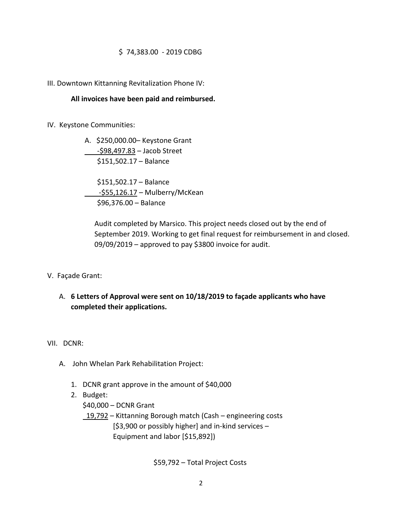### \$ 74,383.00 - 2019 CDBG

#### III. Downtown Kittanning Revitalization Phone IV:

#### **All invoices have been paid and reimbursed.**

IV. Keystone Communities:

A. \$250,000.00– Keystone Grant -\$98,497.83 – Jacob Street \$151,502.17 – Balance

 \$151,502.17 – Balance -\$55,126.17 – Mulberry/McKean \$96,376.00 – Balance

Audit completed by Marsico. This project needs closed out by the end of September 2019. Working to get final request for reimbursement in and closed. 09/09/2019 – approved to pay \$3800 invoice for audit.

- V. Façade Grant:
	- A. **6 Letters of Approval were sent on 10/18/2019 to façade applicants who have completed their applications.**

VII. DCNR:

- A. John Whelan Park Rehabilitation Project:
	- 1. DCNR grant approve in the amount of \$40,000
	- 2. Budget:

\$40,000 – DCNR Grant

 19,792 – Kittanning Borough match (Cash – engineering costs [\$3,900 or possibly higher] and in-kind services – Equipment and labor [\$15,892])

\$59,792 – Total Project Costs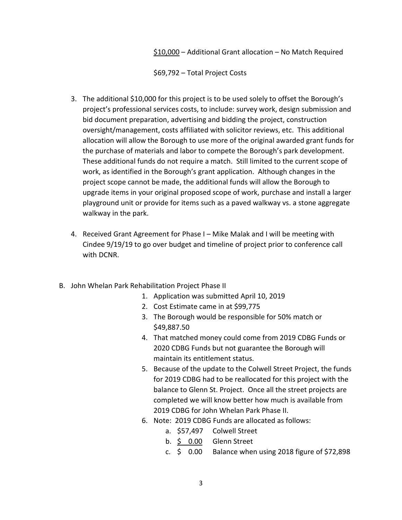\$10,000 – Additional Grant allocation – No Match Required

\$69,792 – Total Project Costs

- 3. The additional \$10,000 for this project is to be used solely to offset the Borough's project's professional services costs, to include: survey work, design submission and bid document preparation, advertising and bidding the project, construction oversight/management, costs affiliated with solicitor reviews, etc. This additional allocation will allow the Borough to use more of the original awarded grant funds for the purchase of materials and labor to compete the Borough's park development. These additional funds do not require a match. Still limited to the current scope of work, as identified in the Borough's grant application. Although changes in the project scope cannot be made, the additional funds will allow the Borough to upgrade items in your original proposed scope of work, purchase and install a larger playground unit or provide for items such as a paved walkway vs. a stone aggregate walkway in the park.
- 4. Received Grant Agreement for Phase I Mike Malak and I will be meeting with Cindee 9/19/19 to go over budget and timeline of project prior to conference call with DCNR.
- B. John Whelan Park Rehabilitation Project Phase II
	- 1. Application was submitted April 10, 2019
	- 2. Cost Estimate came in at \$99,775
	- 3. The Borough would be responsible for 50% match or \$49,887.50
	- 4. That matched money could come from 2019 CDBG Funds or 2020 CDBG Funds but not guarantee the Borough will maintain its entitlement status.
	- 5. Because of the update to the Colwell Street Project, the funds for 2019 CDBG had to be reallocated for this project with the balance to Glenn St. Project. Once all the street projects are completed we will know better how much is available from 2019 CDBG for John Whelan Park Phase II.
	- 6. Note: 2019 CDBG Funds are allocated as follows:
		- a. \$57,497 Colwell Street
		- b. \$ 0.00 Glenn Street
		- c.  $\leq$  0.00 Balance when using 2018 figure of \$72,898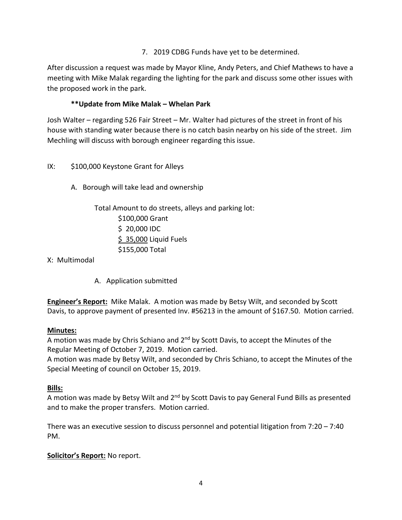7. 2019 CDBG Funds have yet to be determined.

After discussion a request was made by Mayor Kline, Andy Peters, and Chief Mathews to have a meeting with Mike Malak regarding the lighting for the park and discuss some other issues with the proposed work in the park.

# **\*\*Update from Mike Malak – Whelan Park**

Josh Walter – regarding 526 Fair Street – Mr. Walter had pictures of the street in front of his house with standing water because there is no catch basin nearby on his side of the street. Jim Mechling will discuss with borough engineer regarding this issue.

- IX: \$100,000 Keystone Grant for Alleys
	- A. Borough will take lead and ownership

Total Amount to do streets, alleys and parking lot: \$100,000 Grant \$ 20,000 IDC \$ 35,000 Liquid Fuels \$155,000 Total

X: Multimodal

A. Application submitted

**Engineer's Report:** Mike Malak. A motion was made by Betsy Wilt, and seconded by Scott Davis, to approve payment of presented Inv. #56213 in the amount of \$167.50. Motion carried.

# **Minutes:**

A motion was made by Chris Schiano and  $2<sup>nd</sup>$  by Scott Davis, to accept the Minutes of the Regular Meeting of October 7, 2019. Motion carried.

A motion was made by Betsy Wilt, and seconded by Chris Schiano, to accept the Minutes of the Special Meeting of council on October 15, 2019.

# **Bills:**

A motion was made by Betsy Wilt and  $2<sup>nd</sup>$  by Scott Davis to pay General Fund Bills as presented and to make the proper transfers. Motion carried.

There was an executive session to discuss personnel and potential litigation from 7:20 – 7:40 PM.

# **Solicitor's Report:** No report.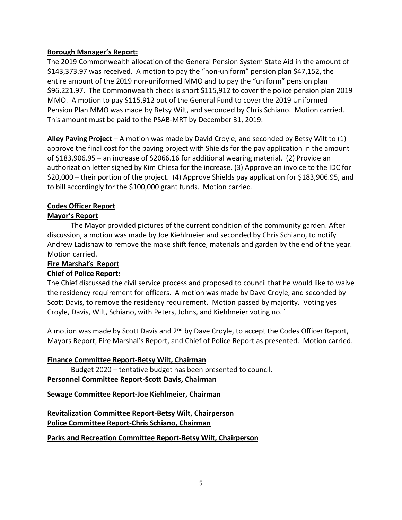## **Borough Manager's Report:**

The 2019 Commonwealth allocation of the General Pension System State Aid in the amount of \$143,373.97 was received. A motion to pay the "non-uniform" pension plan \$47,152, the entire amount of the 2019 non-uniformed MMO and to pay the "uniform" pension plan \$96,221.97. The Commonwealth check is short \$115,912 to cover the police pension plan 2019 MMO. A motion to pay \$115,912 out of the General Fund to cover the 2019 Uniformed Pension Plan MMO was made by Betsy Wilt, and seconded by Chris Schiano. Motion carried. This amount must be paid to the PSAB-MRT by December 31, 2019.

**Alley Paving Project** – A motion was made by David Croyle, and seconded by Betsy Wilt to (1) approve the final cost for the paving project with Shields for the pay application in the amount of \$183,906.95 – an increase of \$2066.16 for additional wearing material. (2) Provide an authorization letter signed by Kim Chiesa for the increase. (3) Approve an invoice to the IDC for \$20,000 – their portion of the project. (4) Approve Shields pay application for \$183,906.95, and to bill accordingly for the \$100,000 grant funds. Motion carried.

# **Codes Officer Report**

# **Mayor's Report**

The Mayor provided pictures of the current condition of the community garden. After discussion, a motion was made by Joe Kiehlmeier and seconded by Chris Schiano, to notify Andrew Ladishaw to remove the make shift fence, materials and garden by the end of the year. Motion carried.

## **Fire Marshal's Report**

# **Chief of Police Report:**

The Chief discussed the civil service process and proposed to council that he would like to waive the residency requirement for officers. A motion was made by Dave Croyle, and seconded by Scott Davis, to remove the residency requirement. Motion passed by majority. Voting yes Croyle, Davis, Wilt, Schiano, with Peters, Johns, and Kiehlmeier voting no. `

A motion was made by Scott Davis and  $2^{nd}$  by Dave Croyle, to accept the Codes Officer Report, Mayors Report, Fire Marshal's Report, and Chief of Police Report as presented. Motion carried.

### **Finance Committee Report-Betsy Wilt, Chairman**

Budget 2020 – tentative budget has been presented to council.

## **Personnel Committee Report-Scott Davis, Chairman**

**Sewage Committee Report-Joe Kiehlmeier, Chairman**

**Revitalization Committee Report-Betsy Wilt, Chairperson Police Committee Report-Chris Schiano, Chairman**

**Parks and Recreation Committee Report-Betsy Wilt, Chairperson**